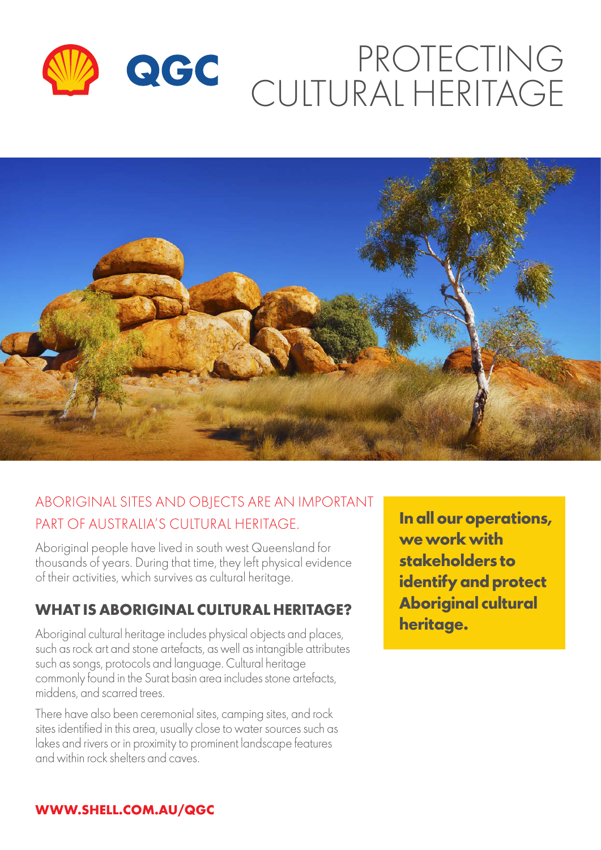# PROTECTING QGC CULTURAL HERITAGE



# ABORIGINAL SITES AND OBJECTS ARE AN IMPORTANT PART OF AUSTRALIA'S CULTURAL HERITAGE.

Aboriginal people have lived in south west Queensland for thousands of years. During that time, they left physical evidence of their activities, which survives as cultural heritage.

## **WHAT IS ABORIGINAL CULTURAL HERITAGE?**

Aboriginal cultural heritage includes physical objects and places, such as rock art and stone artefacts, as well as intangible attributes such as songs, protocols and language. Cultural heritage commonly found in the Surat basin area includes stone artefacts, middens, and scarred trees.

There have also been ceremonial sites, camping sites, and rock sites identified in this area, usually close to water sources such as lakes and rivers or in proximity to prominent landscape features and within rock shelters and caves.

**In all our operations, we work with stakeholders to identify and protect Aboriginal cultural heritage.**

#### **WWW.SHELL.COM.AU/QGC**